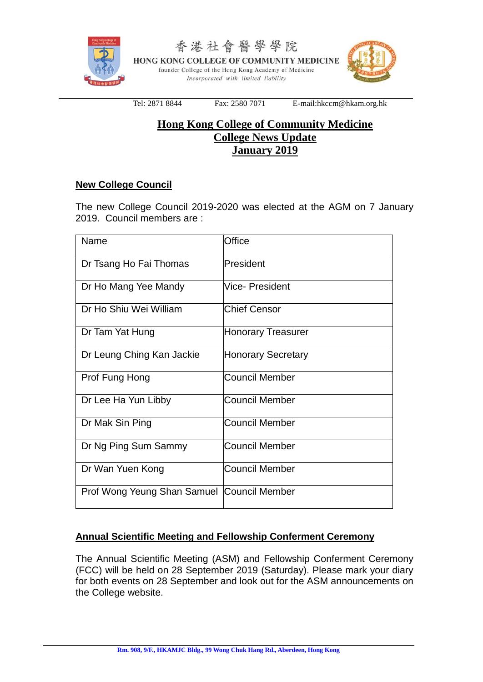

香港社會醫學學院 HONG KONG COLLEGE OF COMMUNITY MEDICINE founder College of the Hong Kong Academy of Medicine Incorporated with limited liability



Tel: 2871 8844 Fax: 2580 7071 E-mail:hkccm@hkam.org.hk

## **Hong Kong College of Community Medicine College News Update January 2019**

## **New College Council**

The new College Council 2019-2020 was elected at the AGM on 7 January 2019. Council members are :

| Name                                       | Office                    |
|--------------------------------------------|---------------------------|
| Dr Tsang Ho Fai Thomas                     | President                 |
| Dr Ho Mang Yee Mandy                       | <b>Vice-President</b>     |
| Dr Ho Shiu Wei William                     | <b>Chief Censor</b>       |
| Dr Tam Yat Hung                            | <b>Honorary Treasurer</b> |
| Dr Leung Ching Kan Jackie                  | Honorary Secretary        |
| Prof Fung Hong                             | <b>Council Member</b>     |
| Dr Lee Ha Yun Libby                        | Council Member            |
| Dr Mak Sin Ping                            | <b>Council Member</b>     |
| Dr Ng Ping Sum Sammy                       | <b>Council Member</b>     |
| Dr Wan Yuen Kong                           | <b>Council Member</b>     |
| Prof Wong Yeung Shan Samuel Council Member |                           |

## **Annual Scientific Meeting and Fellowship Conferment Ceremony**

The Annual Scientific Meeting (ASM) and Fellowship Conferment Ceremony (FCC) will be held on 28 September 2019 (Saturday). Please mark your diary for both events on 28 September and look out for the ASM announcements on the College website.